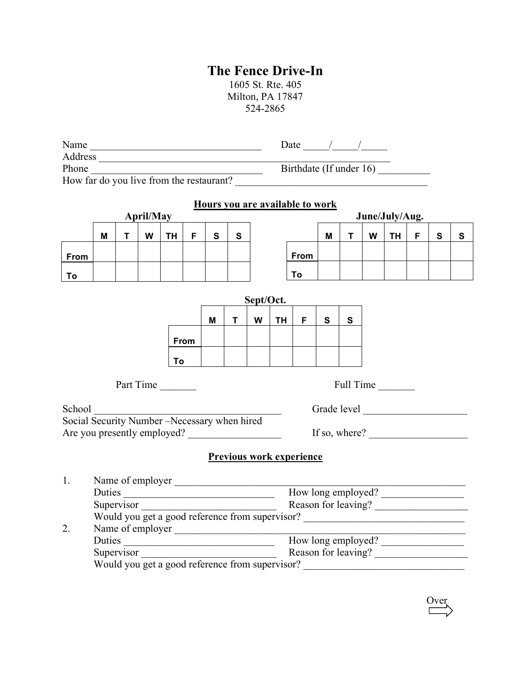## **The Fence Drive-In**

1605 St. Rte. 405 Milton, PA 17847 524-2865

| Name                                                                                                                                  |                                                                                                           |   |                  |           |      |              |              |  | Date $\frac{1}{\sqrt{1-\frac{1}{2}}}$ |                                 |                |   |   |           |    |           |           |  |
|---------------------------------------------------------------------------------------------------------------------------------------|-----------------------------------------------------------------------------------------------------------|---|------------------|-----------|------|--------------|--------------|--|---------------------------------------|---------------------------------|----------------|---|---|-----------|----|-----------|-----------|--|
| Phone                                                                                                                                 |                                                                                                           |   |                  |           |      |              |              |  | Birthdate (If under 16)               |                                 |                |   |   |           |    |           |           |  |
| <u> 1989 - Johann Barn, mars et al. (b. 1989)</u><br>How far do you live from the restaurant?                                         |                                                                                                           |   |                  |           |      |              |              |  |                                       |                                 |                |   |   |           |    |           |           |  |
|                                                                                                                                       |                                                                                                           |   |                  |           |      |              |              |  |                                       |                                 |                |   |   |           |    |           |           |  |
|                                                                                                                                       |                                                                                                           |   |                  |           |      |              |              |  |                                       | Hours you are available to work |                |   |   |           |    |           |           |  |
|                                                                                                                                       | <b>April/May</b>                                                                                          |   |                  |           |      |              |              |  |                                       |                                 | June/July/Aug. |   |   |           |    |           |           |  |
|                                                                                                                                       | M                                                                                                         | т | W                | <b>TH</b> | F.   | $\mathbf{s}$ | $\mathbf{s}$ |  |                                       |                                 | М              | T | W | TH        | F. | ${\bf S}$ | ${\bf S}$ |  |
| <b>From</b>                                                                                                                           |                                                                                                           |   |                  |           |      |              |              |  |                                       | From                            |                |   |   |           |    |           |           |  |
| To                                                                                                                                    |                                                                                                           |   |                  |           |      |              |              |  |                                       | Τo                              |                |   |   |           |    |           |           |  |
| Sept/Oct.                                                                                                                             |                                                                                                           |   |                  |           |      |              |              |  |                                       |                                 |                |   |   |           |    |           |           |  |
|                                                                                                                                       |                                                                                                           |   |                  |           |      |              |              |  |                                       |                                 |                |   |   |           |    |           |           |  |
| W<br>S<br>TH.<br>F.<br>S<br>м<br>T                                                                                                    |                                                                                                           |   |                  |           |      |              |              |  |                                       |                                 |                |   |   |           |    |           |           |  |
|                                                                                                                                       |                                                                                                           |   |                  |           | From |              |              |  |                                       |                                 |                |   |   |           |    |           |           |  |
|                                                                                                                                       |                                                                                                           |   |                  |           |      |              |              |  |                                       |                                 |                |   |   |           |    |           |           |  |
|                                                                                                                                       |                                                                                                           |   |                  | To        |      |              |              |  |                                       |                                 |                |   |   |           |    |           |           |  |
|                                                                                                                                       |                                                                                                           |   | Part Time        |           |      |              |              |  |                                       |                                 |                |   |   | Full Time |    |           |           |  |
| School                                                                                                                                |                                                                                                           |   |                  |           |      |              |              |  |                                       |                                 |                |   |   |           |    |           |           |  |
|                                                                                                                                       |                                                                                                           |   |                  |           |      |              |              |  |                                       |                                 |                |   |   |           |    |           |           |  |
| School <u>Community Number – Necessary when hired</u><br>Social Security Number – Necessary when hired<br>Are you presently employed? |                                                                                                           |   |                  |           |      |              |              |  | If so, where? $\qquad \qquad$         |                                 |                |   |   |           |    |           |           |  |
|                                                                                                                                       |                                                                                                           |   |                  |           |      |              |              |  |                                       | <b>Previous work experience</b> |                |   |   |           |    |           |           |  |
| 1.                                                                                                                                    |                                                                                                           |   |                  |           |      |              |              |  |                                       |                                 |                |   |   |           |    |           |           |  |
|                                                                                                                                       | Name of employer<br>Duties<br>Supervisor<br>Supervisor<br>Would you get a good reference from supervisor? |   |                  |           |      |              |              |  |                                       |                                 |                |   |   |           |    |           |           |  |
|                                                                                                                                       |                                                                                                           |   |                  |           |      |              |              |  |                                       |                                 |                |   |   |           |    |           |           |  |
|                                                                                                                                       |                                                                                                           |   |                  |           |      |              |              |  |                                       |                                 |                |   |   |           |    |           |           |  |
| 2.                                                                                                                                    |                                                                                                           |   | Name of employer |           |      |              |              |  |                                       |                                 |                |   |   |           |    |           |           |  |
|                                                                                                                                       |                                                                                                           |   |                  |           |      |              |              |  |                                       | Duties How long employed?       |                |   |   |           |    |           |           |  |
| Supervisor Reason for leaving?                                                                                                        |                                                                                                           |   |                  |           |      |              |              |  |                                       |                                 |                |   |   |           |    |           |           |  |
|                                                                                                                                       | Would you get a good reference from supervisor?                                                           |   |                  |           |      |              |              |  |                                       |                                 |                |   |   |           |    |           |           |  |